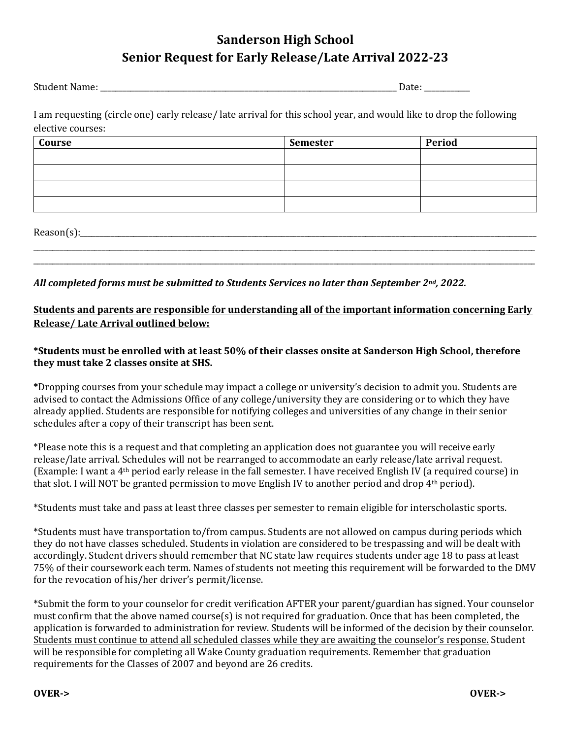## **Sanderson High School Senior Request for Early Release/Late Arrival 2022-23**

Student Name: \_\_\_\_\_\_\_\_\_\_\_\_\_\_\_\_\_\_\_\_\_\_\_\_\_\_\_\_\_\_\_\_\_\_\_\_\_\_\_\_\_\_\_\_\_\_\_\_\_\_\_\_\_\_\_\_\_\_\_\_\_\_\_\_\_\_\_\_\_\_\_\_\_\_\_\_\_\_ Date: \_\_\_\_\_\_\_\_\_\_\_\_

I am requesting (circle one) early release/ late arrival for this school year, and would like to drop the following elective courses:

| Course | Semester | Period |
|--------|----------|--------|
|        |          |        |
|        |          |        |
|        |          |        |
|        |          |        |

\_\_\_\_\_\_\_\_\_\_\_\_\_\_\_\_\_\_\_\_\_\_\_\_\_\_\_\_\_\_\_\_\_\_\_\_\_\_\_\_\_\_\_\_\_\_\_\_\_\_\_\_\_\_\_\_\_\_\_\_\_\_\_\_\_\_\_\_\_\_\_\_\_\_\_\_\_\_\_\_\_\_\_\_\_\_\_\_\_\_\_\_\_\_\_\_\_\_\_\_\_\_\_\_\_\_\_\_\_\_\_\_\_\_\_\_\_\_\_\_\_\_\_\_\_\_\_\_\_\_\_\_ \_\_\_\_\_\_\_\_\_\_\_\_\_\_\_\_\_\_\_\_\_\_\_\_\_\_\_\_\_\_\_\_\_\_\_\_\_\_\_\_\_\_\_\_\_\_\_\_\_\_\_\_\_\_\_\_\_\_\_\_\_\_\_\_\_\_\_\_\_\_\_\_\_\_\_\_\_\_\_\_\_\_\_\_\_\_\_\_\_\_\_\_\_\_\_\_\_\_\_\_\_\_\_\_\_\_\_\_\_\_\_\_\_\_\_\_\_\_\_\_\_\_\_\_\_\_\_\_\_\_\_\_

 $Reason(s):$ 

*All completed forms must be submitted to Students Services no later than September 2nd, 2022.* 

## **Students and parents are responsible for understanding all of the important information concerning Early Release/ Late Arrival outlined below:**

## **\*Students must be enrolled with at least 50% of their classes onsite at Sanderson High School, therefore they must take 2 classes onsite at SHS.**

**\***Dropping courses from your schedule may impact a college or university's decision to admit you. Students are advised to contact the Admissions Office of any college/university they are considering or to which they have already applied. Students are responsible for notifying colleges and universities of any change in their senior schedules after a copy of their transcript has been sent.

\*Please note this is a request and that completing an application does not guarantee you will receive early release/late arrival. Schedules will not be rearranged to accommodate an early release/late arrival request. (Example: I want a 4th period early release in the fall semester. I have received English IV (a required course) in that slot. I will NOT be granted permission to move English IV to another period and drop  $4<sup>th</sup>$  period).

\*Students must take and pass at least three classes per semester to remain eligible for interscholastic sports.

\*Students must have transportation to/from campus. Students are not allowed on campus during periods which they do not have classes scheduled. Students in violation are considered to be trespassing and will be dealt with accordingly. Student drivers should remember that NC state law requires students under age 18 to pass at least 75% of their coursework each term. Names of students not meeting this requirement will be forwarded to the DMV for the revocation of his/her driver's permit/license.

\*Submit the form to your counselor for credit verification AFTER your parent/guardian has signed. Your counselor must confirm that the above named course(s) is not required for graduation. Once that has been completed, the application is forwarded to administration for review. Students will be informed of the decision by their counselor. Students must continue to attend all scheduled classes while they are awaiting the counselor's response. Student will be responsible for completing all Wake County graduation requirements. Remember that graduation requirements for the Classes of 2007 and beyond are 26 credits.